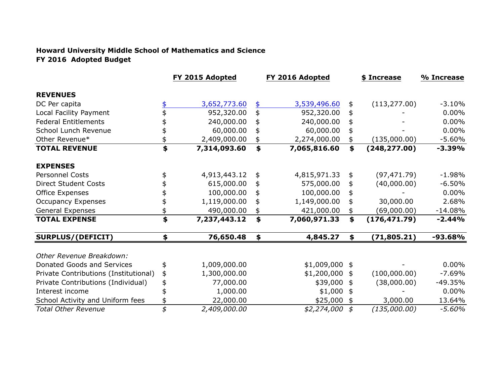## **Howard University Middle School of Mathematics and Science FY 2016 Adopted Budget**

|                                       | FY 2015 Adopted    |                 | FY 2016 Adopted |    | \$ Increase   | % Increase |
|---------------------------------------|--------------------|-----------------|-----------------|----|---------------|------------|
| <b>REVENUES</b>                       |                    |                 |                 |    |               |            |
| DC Per capita                         | 3,652,773.60       | \$              | 3,539,496.60    | \$ | (113, 277.00) | $-3.10%$   |
| Local Facility Payment                | 952,320.00         | \$              | 952,320.00      | \$ |               | $0.00\%$   |
| <b>Federal Entitlements</b>           | 240,000.00         | \$              | 240,000.00      |    |               | $0.00\%$   |
| School Lunch Revenue                  | 60,000.00          | \$              | 60,000.00       |    |               | $0.00\%$   |
| Other Revenue*                        | 2,409,000.00       | \$              | 2,274,000.00    |    | (135,000.00)  | $-5.60%$   |
| <b>TOTAL REVENUE</b>                  | \$<br>7,314,093.60 | $\blacklozenge$ | 7,065,816.60    | \$ | (248, 277.00) | $-3.39%$   |
| <b>EXPENSES</b>                       |                    |                 |                 |    |               |            |
| <b>Personnel Costs</b>                | \$<br>4,913,443.12 | \$              | 4,815,971.33    | \$ | (97, 471.79)  | $-1.98%$   |
| <b>Direct Student Costs</b>           | 615,000.00         | \$              | 575,000.00      | \$ | (40,000.00)   | $-6.50%$   |
| Office Expenses                       | 100,000.00         | \$              | 100,000.00      |    |               | $0.00\%$   |
| <b>Occupancy Expenses</b>             | 1,119,000.00       | \$              | 1,149,000.00    |    | 30,000.00     | 2.68%      |
| General Expenses                      | 490,000.00         | \$              | 421,000.00      |    | (69,000.00)   | $-14.08%$  |
| <b>TOTAL EXPENSE</b>                  | \$<br>7,237,443.12 | \$              | 7,060,971.33    | \$ | (176, 471.79) | $-2.44%$   |
| <b>SURPLUS/(DEFICIT)</b>              | \$<br>76,650.48    | \$              | 4,845.27        |    | (71, 805.21)  | $-93.68%$  |
| Other Revenue Breakdown:              |                    |                 |                 |    |               |            |
| Donated Goods and Services            | \$<br>1,009,000.00 |                 | $$1,009,000$ \$ |    |               | $0.00\%$   |
| Private Contributions (Institutional) | \$<br>1,300,000.00 |                 | $$1,200,000$ \$ |    | (100,000.00)  | $-7.69%$   |
| Private Contributions (Individual)    | \$<br>77,000.00    |                 | \$39,000 \$     |    | (38,000.00)   | $-49.35%$  |
| Interest income                       | 1,000.00           |                 | $$1,000$ \$     |    |               | $0.00\%$   |
| School Activity and Uniform fees      | 22,000.00          |                 | \$25,000        | \$ | 3,000.00      | 13.64%     |
| <b>Total Other Revenue</b>            | \$<br>2,409,000.00 |                 | $$2,274,000$ \$ |    | (135,000.00)  | $-5.60%$   |